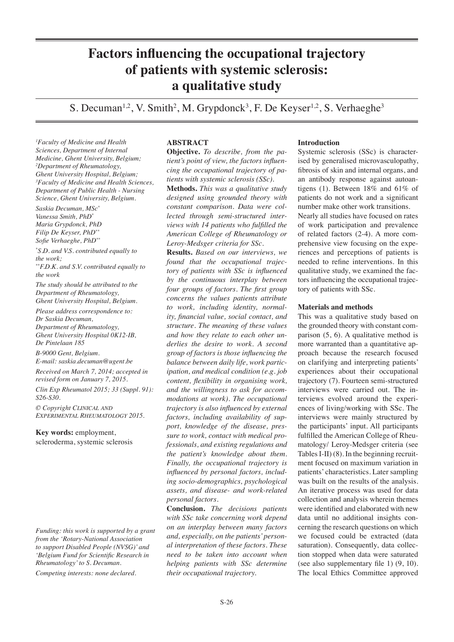# **Factors influencing the occupational trajectory of patients with systemic sclerosis: a qualitative study**

S. Decuman<sup>1,2</sup>, V. Smith<sup>2</sup>, M. Grypdonck<sup>3</sup>, F. De Keyser<sup>1,2</sup>, S. Verhaeghe<sup>3</sup>

*1 Faculty of Medicine and Health Sciences, Department of Internal Medicine, Ghent University, Belgium; 2 Department of Rheumatology, Ghent University Hospital, Belgium; 3 Faculty of Medicine and Health Sciences, Department of Public Health - Nursing Science, Ghent University, Belgium.*

*Saskia Decuman, MSc\* Vanessa Smith, PhD\* Maria Grypdonck, PhD Filip De Keyser, PhD\*\* Sofie Verhaeghe, PhD\*\**

*the work*

*\* S.D. and V.S. contributed equally to the work; \*\*F.D.K. and S.V. contributed equally to* 

*The study should be attributed to the Department of Rheumatology,* 

*Ghent University Hospital, Belgium. Please address correspondence to: Dr Saskia Decuman,* 

*Department of Rheumatology, Ghent University Hospital 0K12-IB, De Pintelaan 185*

*B-9000 Gent, Belgium. E-mail: saskia.decuman@ugent.be*

*Received on March 7, 2014; accepted in revised form on January 7, 2015. Clin Exp Rheumatol 2015; 33 (Suppl. 91):* 

*S26-S30.*

*© Copyright Clinical and Experimental Rheumatology 2015.*

**Key words:** employment, scleroderma, systemic sclerosis

*Funding: this work is supported by a grant from the 'Rotary-National Association to support Disabled People (NVSG)' and 'Belgium Fund for Scientific Research in Rheumatology' to S. Decuman.*

*Competing interests: none declared.*

# **ABSTRACT**

**Objective.** *To describe, from the patient's point of view, the factors influencing the occupational trajectory of patients with systemic sclerosis (SSc).*

**Methods.** *This was a qualitative study designed using grounded theory with constant comparison. Data were collected through semi-structured interviews with 14 patients who fulfilled the American College of Rheumatology or Leroy-Medsger criteria for SSc.*

**Results.** *Based on our interviews, we found that the occupational trajectory of patients with SSc is influenced by the continuous interplay between four groups of factors. The first group concerns the values patients attribute to work, including identity, normality, financial value, social contact, and structure. The meaning of these values and how they relate to each other underlies the desire to work. A second group of factors is those influencing the balance between daily life, work participation, and medical condition (e.g. job content, flexibility in organising work, and the willingness to ask for accommodations at work). The occupational trajectory is also influenced by external factors, including availability of support, knowledge of the disease, pressure to work, contact with medical professionals, and existing regulations and the patient's knowledge about them. Finally, the occupational trajectory is influenced by personal factors, including socio-demographics, psychological assets, and disease- and work-related personal factors.*

**Conclusion.** *The decisions patients with SSc take concerning work depend on an interplay between many factors and, especially, on the patients' personal interpretation of these factors. These need to be taken into account when helping patients with SSc determine their occupational trajectory.*

# **Introduction**

Systemic sclerosis (SSc) is characterised by generalised microvasculopathy, fibrosis of skin and internal organs, and an antibody response against autoantigens (1). Between 18% and 61% of patients do not work and a significant number make other work transitions.

Nearly all studies have focused on rates of work participation and prevalence of related factors (2-4). A more comprehensive view focusing on the experiences and perceptions of patients is needed to refine interventions. In this qualitative study, we examined the factors influencing the occupational trajectory of patients with SSc.

# **Materials and methods**

This was a qualitative study based on the grounded theory with constant comparison (5, 6). A qualitative method is more warranted than a quantitative approach because the research focused on clarifying and interpreting patients' experiences about their occupational trajectory (7). Fourteen semi-structured interviews were carried out. The interviews evolved around the experiences of living/working with SSc. The interviews were mainly structured by the participants' input. All participants fulfilled the American College of Rheumatology/ Leroy-Medsger criteria (see Tables I-II) (8). In the beginning recruitment focused on maximum variation in patients' characteristics. Later sampling was built on the results of the analysis. An iterative process was used for data collection and analysis wherein themes were identified and elaborated with new data until no additional insights concerning the research questions on which we focused could be extracted (data saturation). Consequently, data collection stopped when data were saturated (see also supplementary file 1) (9, 10). The local Ethics Committee approved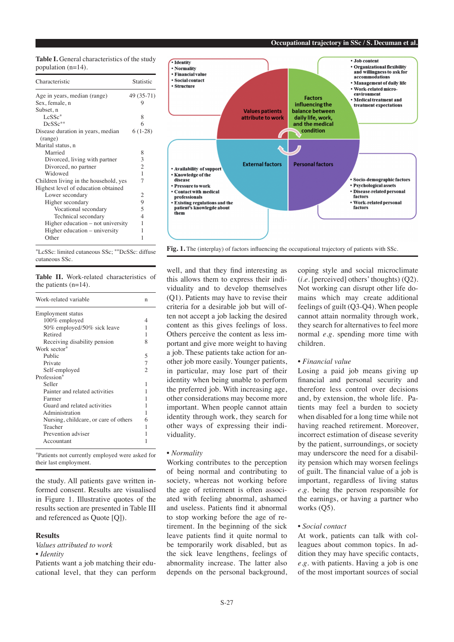**Table I.** General characteristics of the study population (n=14).

| Characteristic                        | Statistic      |
|---------------------------------------|----------------|
| Age in years, median (range)          | 49 (35-71)     |
| Sex, female, n                        | 9              |
| Subset, n                             |                |
| $LcSSc*$                              | 8              |
| $DeSSc**$                             | 6              |
| Disease duration in years, median     | $6(1-28)$      |
| (range)                               |                |
| Marital status, n                     |                |
| Married                               | 8              |
| Divorced, living with partner         | 3              |
| Divorced, no partner                  | $\mathfrak{2}$ |
| Widowed                               | $\mathbf{1}$   |
| Children living in the household, yes | 7              |
| Highest level of education obtained   |                |
| Lower secondary                       | 2              |
| Higher secondary                      | 9              |
| Vocational secondary                  | 5              |
| Technical secondary                   | 4              |
| Higher education – not university     | 1              |
| Higher education – university         | 1              |
| Other                                 | 1              |

\*LcSSc: limited cutaneous SSc; \*\*DcSSc: diffuse cutaneous SSc.

|  |                         | <b>Table II.</b> Work-related characteristics of |  |
|--|-------------------------|--------------------------------------------------|--|
|  | the patients $(n=14)$ . |                                                  |  |

| Work-related variable                 | n              |
|---------------------------------------|----------------|
| <b>Employment</b> status              |                |
| 100% employed                         | 4              |
| 50% employed/50% sick leave           | 1              |
| Retired                               | 1              |
| Receiving disability pension          | 8              |
| Work sector*                          |                |
| Public                                | 5              |
| Private                               | $\overline{7}$ |
| Self-employed                         | $\overline{c}$ |
| Profession*                           |                |
| Seller                                | 1              |
| Painter and related activities        | 1              |
| Farmer                                | 1              |
| Guard and related activities          | 1              |
| Administration                        | 1              |
| Nursing, childcare, or care of others | 6              |
| Teacher                               | 1              |
| Prevention adviser                    | 1              |
| Accountant                            | 1              |

\*Patients not currently employed were asked for their last employment.

the study. All patients gave written informed consent. Results are visualised in Figure 1. Illustrative quotes of the results section are presented in Table III and referenced as Quote [Q]).

# **Results**

*Values attributed to work*

# *• Identity*

Patients want a job matching their educational level, that they can perform



Fig. 1. The (interplay) of factors influencing the occupational trajectory of patients with SSc.

well, and that they find interesting as this allows them to express their individuality and to develop themselves (Q1). Patients may have to revise their criteria for a desirable job but will often not accept a job lacking the desired content as this gives feelings of loss. Others perceive the content as less important and give more weight to having a job. These patients take action for another job more easily. Younger patients, in particular, may lose part of their identity when being unable to perform the preferred job. With increasing age, other considerations may become more important. When people cannot attain identity through work, they search for other ways of expressing their individuality.

### *• Normality*

Working contributes to the perception of being normal and contributing to society, whereas not working before the age of retirement is often associated with feeling abnormal, ashamed and useless. Patients find it abnormal to stop working before the age of retirement. In the beginning of the sick leave patients find it quite normal to be temporarily work disabled, but as the sick leave lengthens, feelings of abnormality increase. The latter also depends on the personal background, coping style and social microclimate (*i.e.* [perceived] others' thoughts) (Q2). Not working can disrupt other life domains which may create additional feelings of guilt (Q3-Q4). When people cannot attain normality through work, they search for alternatives to feel more normal *e.g*. spending more time with children.

# *• Financial value*

Losing a paid job means giving up financial and personal security and therefore less control over decisions and, by extension, the whole life. Patients may feel a burden to society when disabled for a long time while not having reached retirement. Moreover, incorrect estimation of disease severity by the patient, surroundings, or society may underscore the need for a disability pension which may worsen feelings of guilt. The financial value of a job is important, regardless of living status *e.g*. being the person responsible for the earnings, or having a partner who works  $(05)$ .

#### *• Social contact*

At work, patients can talk with colleagues about common topics. In addition they may have specific contacts, *e.g.* with patients. Having a job is one of the most important sources of social

#### **Occupational trajectory in SSc / S. Decuman et al.**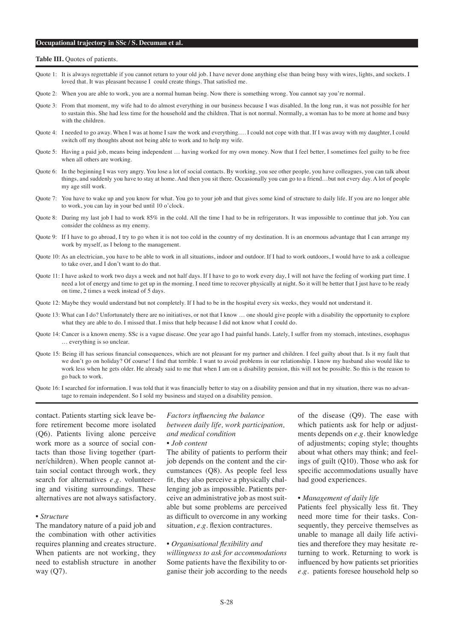#### **Occupational trajectory in SSc / S. Decuman et al.**

#### **Table III.** Quotes of patients.

- Quote 1: It is always regrettable if you cannot return to your old job. I have never done anything else than being busy with wires, lights, and sockets. I loved that. It was pleasant because I could create things. That satisfied me.
- Quote 2: When you are able to work, you are a normal human being. Now there is something wrong. You cannot say you're normal.
- Quote 3: From that moment, my wife had to do almost everything in our business because I was disabled. In the long run, it was not possible for her to sustain this. She had less time for the household and the children. That is not normal. Normally, a woman has to be more at home and busy with the children.
- Quote 4: I needed to go away. When I was at home I saw the work and everything…. I could not cope with that. If I was away with my daughter, I could switch off my thoughts about not being able to work and to help my wife.
- Quote 5: Having a paid job, means being independent ... having worked for my own money. Now that I feel better, I sometimes feel guilty to be free when all others are working.
- Quote 6: In the beginning I was very angry. You lose a lot of social contacts. By working, you see other people, you have colleagues, you can talk about things, and suddenly you have to stay at home. And then you sit there. Occasionally you can go to a friend…but not every day. A lot of people my age still work.
- Quote 7: You have to wake up and you know for what. You go to your job and that gives some kind of structure to daily life. If you are no longer able to work, you can lay in your bed until 10 o'clock.
- Quote 8: During my last job I had to work 85% in the cold. All the time I had to be in refrigerators. It was impossible to continue that job. You can consider the coldness as my enemy.
- Quote 9: If I have to go abroad, I try to go when it is not too cold in the country of my destination. It is an enormous advantage that I can arrange my work by myself, as I belong to the management.
- Quote 10: As an electrician, you have to be able to work in all situations, indoor and outdoor. If I had to work outdoors, I would have to ask a colleague to take over, and I don't want to do that.
- Quote 11: I have asked to work two days a week and not half days. If I have to go to work every day, I will not have the feeling of working part time. I need a lot of energy and time to get up in the morning. I need time to recover physically at night. So it will be better that I just have to be ready on time, 2 times a week instead of 5 days.
- Quote 12: Maybe they would understand but not completely. If I had to be in the hospital every six weeks, they would not understand it.
- Quote 13: What can I do? Unfortunately there are no initiatives, or not that I know … one should give people with a disability the opportunity to explore what they are able to do. I missed that. I miss that help because I did not know what I could do.
- Quote 14: Cancer is a known enemy. SSc is a vague disease. One year ago I had painful hands. Lately, I suffer from my stomach, intestines, esophagus … everything is so unclear.
- Quote 15: Being ill has serious financial consequences, which are not pleasant for my partner and children. I feel guilty about that. Is it my fault that we don't go on holiday? Of course! I find that terrible. I want to avoid problems in our relationship. I know my husband also would like to work less when he gets older. He already said to me that when I am on a disability pension, this will not be possible. So this is the reason to go back to work.
- Quote 16: I searched for information. I was told that it was financially better to stay on a disability pension and that in my situation, there was no advantage to remain independent. So I sold my business and stayed on a disability pension.

contact. Patients starting sick leave before retirement become more isolated (Q6). Patients living alone perceive work more as a source of social contacts than those living together (partner/children). When people cannot attain social contact through work, they search for alternatives *e.g*. volunteering and visiting surroundings. These alternatives are not always satisfactory.

# *• Structure*

The mandatory nature of a paid job and the combination with other activities requires planning and creates structure. When patients are not working, they need to establish structure in another way (Q7).

# *Factors influencing the balance between daily life, work participation, and medical condition*

# *• Job content*

The ability of patients to perform their job depends on the content and the circumstances (Q8). As people feel less fit, they also perceive a physically challenging job as impossible. Patients perceive an administrative job as most suitable but some problems are perceived as difficult to overcome in any working situation, *e.g.* flexion contractures.

#### *• Organisational flexibility and*

*willingness to ask for accommodations* Some patients have the flexibility to organise their job according to the needs of the disease (Q9). The ease with which patients ask for help or adjustments depends on *e.g.* their knowledge of adjustments; coping style; thoughts about what others may think; and feelings of guilt (Q10). Those who ask for specific accommodations usually have had good experiences.

#### *• Management of daily life*

Patients feel physically less fit. They need more time for their tasks. Consequently, they perceive themselves as unable to manage all daily life activities and therefore they may hesitate returning to work. Returning to work is influenced by how patients set priorities *e.g.* patients foresee household help so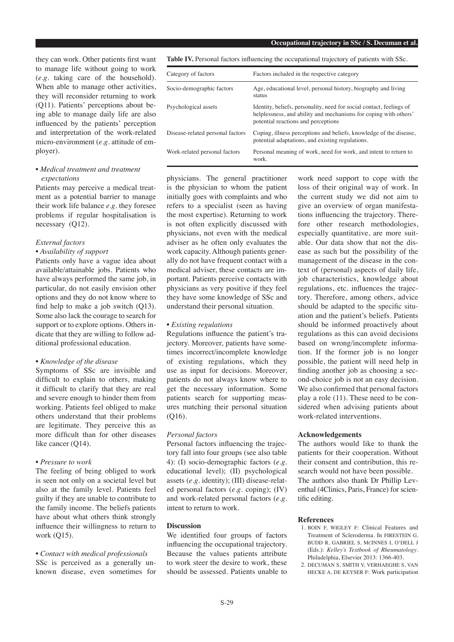they can work. Other patients first want to manage life without going to work (*e.g.* taking care of the household). When able to manage other activities, they will reconsider returning to work (Q11). Patients' perceptions about being able to manage daily life are also influenced by the patients' perception and interpretation of the work-related micro-environment (*e.g.* attitude of employer).

# *• Medical treatment and treatment expectations*

Patients may perceive a medical treatment as a potential barrier to manage their work life balance *e.g.* they foresee problems if regular hospitalisation is necessary (Q12).

# *External factors*

# *• Availability of support*

Patients only have a vague idea about available/attainable jobs. Patients who have always performed the same job, in particular, do not easily envision other options and they do not know where to find help to make a job switch (Q13). Some also lack the courage to search for support or to explore options. Others indicate that they are willing to follow additional professional education.

# *• Knowledge of the disease*

Symptoms of SSc are invisible and difficult to explain to others, making it difficult to clarify that they are real and severe enough to hinder them from working. Patients feel obliged to make others understand that their problems are legitimate. They perceive this as more difficult than for other diseases like cancer (Q14).

# *• Pressure to work*

The feeling of being obliged to work is seen not only on a societal level but also at the family level. Patients feel guilty if they are unable to contribute to the family income. The beliefs patients have about what others think strongly influence their willingness to return to work (Q15).

# *• Contact with medical professionals*

SSc is perceived as a generally unknown disease, even sometimes for **Table IV.** Personal factors influencing the occupational trajectory of patients with SSc.

| Category of factors              | Factors included in the respective category                                                                                                                                     |
|----------------------------------|---------------------------------------------------------------------------------------------------------------------------------------------------------------------------------|
| Socio-demographic factors        | Age, educational level, personal history, biography and living<br>status                                                                                                        |
| Psychological assets             | Identity, beliefs, personality, need for social contact, feelings of<br>helplessness, and ability and mechanisms for coping with others'<br>potential reactions and perceptions |
| Disease-related personal factors | Coping, illness perceptions and beliefs, knowledge of the disease,<br>potential adaptations, and existing regulations.                                                          |
| Work-related personal factors    | Personal meaning of work, need for work, and intent to return to<br>work.                                                                                                       |

physicians. The general practitioner is the physician to whom the patient initially goes with complaints and who refers to a specialist (seen as having the most expertise). Returning to work is not often explicitly discussed with physicians, not even with the medical adviser as he often only evaluates the work capacity. Although patients generally do not have frequent contact with a medical adviser, these contacts are important. Patients perceive contacts with physicians as very positive if they feel they have some knowledge of SSc and understand their personal situation.

#### *• Existing regulations*

Regulations influence the patient's trajectory. Moreover, patients have sometimes incorrect/incomplete knowledge of existing regulations, which they use as input for decisions. Moreover, patients do not always know where to get the necessary information. Some patients search for supporting measures matching their personal situation (Q16).

#### *Personal factors*

Personal factors influencing the trajectory fall into four groups (see also table 4): (I) socio-demographic factors (*e.g.*  educational level); (II) psychological assets (*e.g.* identity); (III) disease-related personal factors (*e.g.* coping); (IV) and work-related personal factors (*e.g.* intent to return to work.

#### **Discussion**

We identified four groups of factors influencing the occupational trajectory. Because the values patients attribute to work steer the desire to work, these should be assessed. Patients unable to

work need support to cope with the loss of their original way of work. In the current study we did not aim to give an overview of organ manifestations influencing the trajectory. Therefore other research methodologies, especially quantitative, are more suitable. Our data show that not the disease as such but the possibility of the management of the disease in the context of (personal) aspects of daily life, job characteristics, knowledge about regulations, etc. influences the trajectory. Therefore, among others, advice should be adapted to the specific situation and the patient's beliefs. Patients should be informed proactively about regulations as this can avoid decisions based on wrong/incomplete information. If the former job is no longer possible, the patient will need help in finding another job as choosing a second-choice job is not an easy decision. We also confirmed that personal factors play a role (11). These need to be considered when advising patients about work-related interventions.

#### **Acknowledgements**

The authors would like to thank the patients for their cooperation. Without their consent and contribution, this research would not have been possible. The authors also thank Dr Phillip Leventhal (4Clinics, Paris, France) for scientific editing.

#### **References**

- 1. BOIN F, WIGLEY F: Clinical Features and Treatment of Scleroderma. In FIRESTEIN G, BUDD R, GABRIEL S, McINNES I, O'DELL J (Eds.): *Kelley's Textbook of Rheumatology*. Philadelphia, Elsevier 2013: 1366-403.
- 2. DECUMAN S, SMITH V, VERHAEGHE S, VAN HECKE A, DE KEYSER F: Work participation